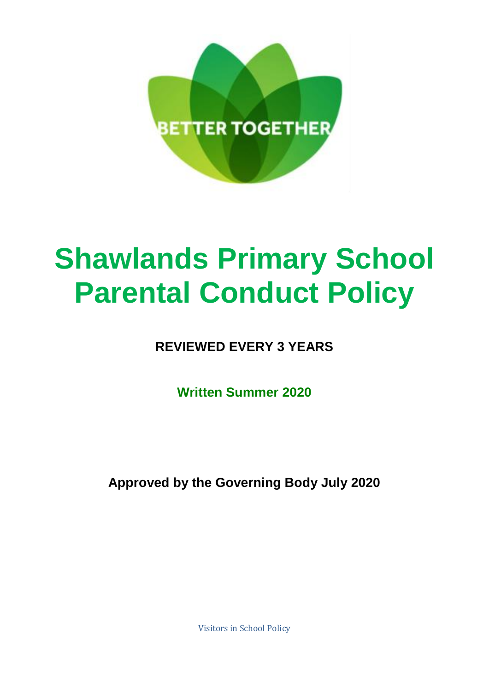

# **Shawlands Primary School Parental Conduct Policy**

**REVIEWED EVERY 3 YEARS**

**Written Summer 2020**

**Approved by the Governing Body July 2020**

- Visitors in School Policy -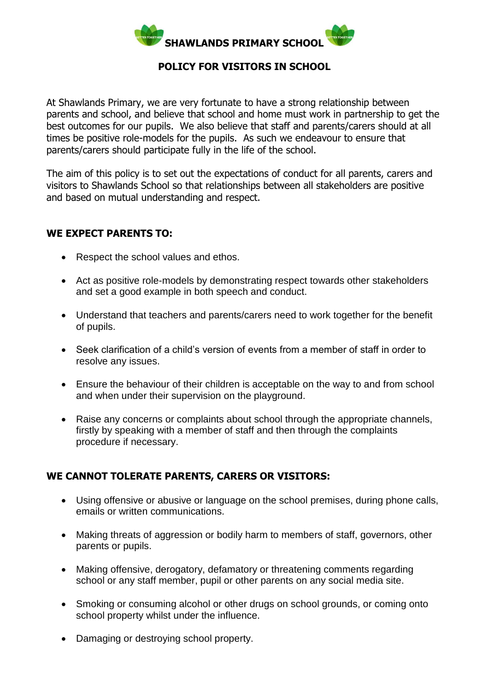

### **POLICY FOR VISITORS IN SCHOOL**

At Shawlands Primary, we are very fortunate to have a strong relationship between parents and school, and believe that school and home must work in partnership to get the best outcomes for our pupils. We also believe that staff and parents/carers should at all times be positive role-models for the pupils. As such we endeavour to ensure that parents/carers should participate fully in the life of the school.

The aim of this policy is to set out the expectations of conduct for all parents, carers and visitors to Shawlands School so that relationships between all stakeholders are positive and based on mutual understanding and respect.

#### **WE EXPECT PARENTS TO:**

- Respect the school values and ethos.
- Act as positive role-models by demonstrating respect towards other stakeholders and set a good example in both speech and conduct.
- Understand that teachers and parents/carers need to work together for the benefit of pupils.
- Seek clarification of a child's version of events from a member of staff in order to resolve any issues.
- Ensure the behaviour of their children is acceptable on the way to and from school and when under their supervision on the playground.
- Raise any concerns or complaints about school through the appropriate channels, firstly by speaking with a member of staff and then through the complaints procedure if necessary.

# **WE CANNOT TOLERATE PARENTS, CARERS OR VISITORS:**

- Using offensive or abusive or language on the school premises, during phone calls, emails or written communications.
- Making threats of aggression or bodily harm to members of staff, governors, other parents or pupils.
- Making offensive, derogatory, defamatory or threatening comments regarding school or any staff member, pupil or other parents on any social media site.
- Smoking or consuming alcohol or other drugs on school grounds, or coming onto school property whilst under the influence.
- Damaging or destroying school property.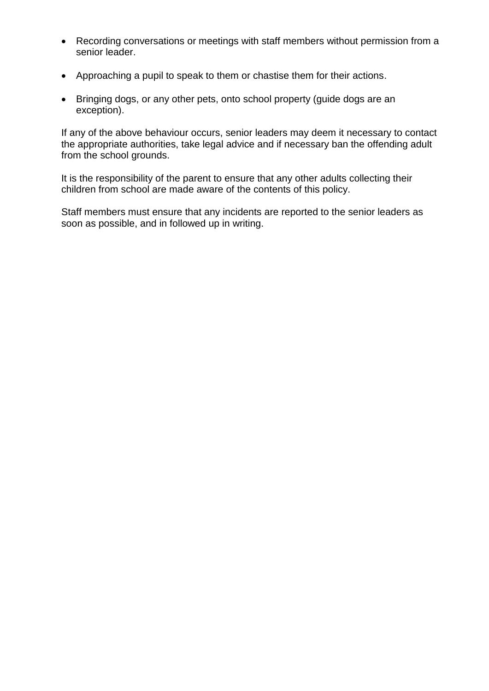- Recording conversations or meetings with staff members without permission from a senior leader.
- Approaching a pupil to speak to them or chastise them for their actions.
- Bringing dogs, or any other pets, onto school property (guide dogs are an exception).

If any of the above behaviour occurs, senior leaders may deem it necessary to contact the appropriate authorities, take legal advice and if necessary ban the offending adult from the school grounds.

It is the responsibility of the parent to ensure that any other adults collecting their children from school are made aware of the contents of this policy.

Staff members must ensure that any incidents are reported to the senior leaders as soon as possible, and in followed up in writing.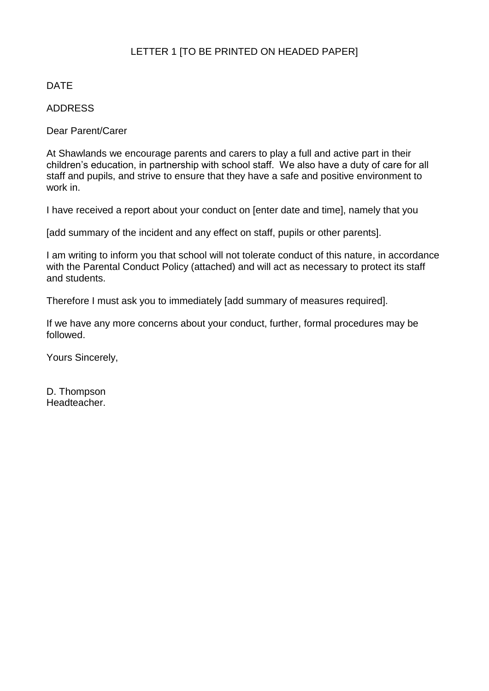## LETTER 1 [TO BE PRINTED ON HEADED PAPER]

#### DATE

#### ADDRESS

Dear Parent/Carer

At Shawlands we encourage parents and carers to play a full and active part in their children's education, in partnership with school staff. We also have a duty of care for all staff and pupils, and strive to ensure that they have a safe and positive environment to work in.

I have received a report about your conduct on [enter date and time], namely that you

[add summary of the incident and any effect on staff, pupils or other parents].

I am writing to inform you that school will not tolerate conduct of this nature, in accordance with the Parental Conduct Policy (attached) and will act as necessary to protect its staff and students.

Therefore I must ask you to immediately [add summary of measures required].

If we have any more concerns about your conduct, further, formal procedures may be followed.

Yours Sincerely,

D. Thompson Headteacher.